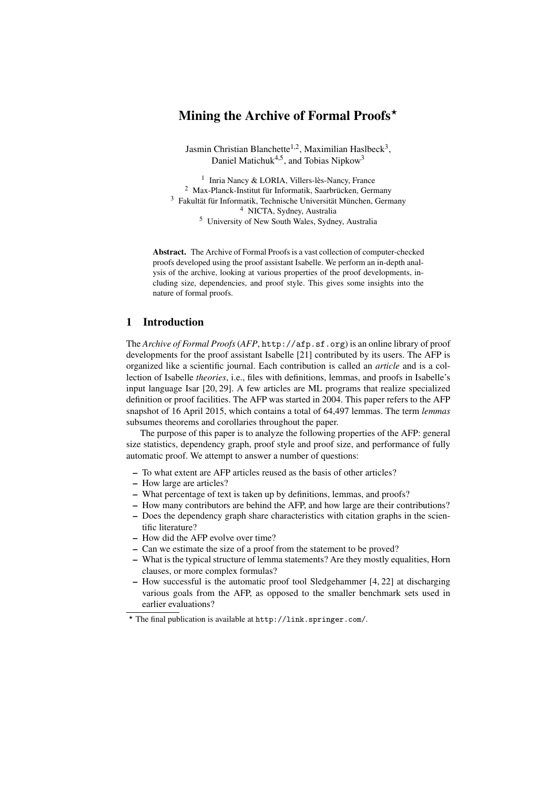# Mining the Archive of Formal Proofs $\star$

Jasmin Christian Blanchette<sup>1,2</sup>, Maximilian Haslbeck<sup>3</sup>, Daniel Matichuk<sup>4,5</sup>, and Tobias Nipkow<sup>3</sup>

<sup>1</sup> Inria Nancy & LORIA, Villers-lès-Nancy, France Max-Planck-Institut für Informatik, Saarbrücken, Germany Fakultät für Informatik, Technische Universität München, Germany NICTA, Sydney, Australia University of New South Wales, Sydney, Australia

Abstract. The Archive of Formal Proofs is a vast collection of computer-checked proofs developed using the proof assistant Isabelle. We perform an in-depth analysis of the archive, looking at various properties of the proof developments, including size, dependencies, and proof style. This gives some insights into the nature of formal proofs.

# 1 Introduction

The *Archive of Formal Proofs* (*AFP*, <http://afp.sf.org>) is an online library of proof developments for the proof assistant Isabelle [\[21\]](#page-14-0) contributed by its users. The AFP is organized like a scientific journal. Each contribution is called an *article* and is a collection of Isabelle *theories*, i.e., files with definitions, lemmas, and proofs in Isabelle's input language Isar [\[20,](#page-14-1) [29\]](#page-15-0). A few articles are ML programs that realize specialized definition or proof facilities. The AFP was started in 2004. This paper refers to the AFP snapshot of 16 April 2015, which contains a total of 64,497 lemmas. The term *lemmas* subsumes theorems and corollaries throughout the paper.

The purpose of this paper is to analyze the following properties of the AFP: general size statistics, dependency graph, proof style and proof size, and performance of fully automatic proof. We attempt to answer a number of questions:

- To what extent are AFP articles reused as the basis of other articles?
- How large are articles?
- What percentage of text is taken up by definitions, lemmas, and proofs?
- How many contributors are behind the AFP, and how large are their contributions? – Does the dependency graph share characteristics with citation graphs in the scientific literature?
- How did the AFP evolve over time?
- Can we estimate the size of a proof from the statement to be proved?
- What is the typical structure of lemma statements? Are they mostly equalities, Horn clauses, or more complex formulas?
- How successful is the automatic proof tool Sledgehammer [\[4,](#page-13-0) [22\]](#page-14-2) at discharging various goals from the AFP, as opposed to the smaller benchmark sets used in earlier evaluations?

<sup>?</sup> The final publication is available at <http://link.springer.com/>.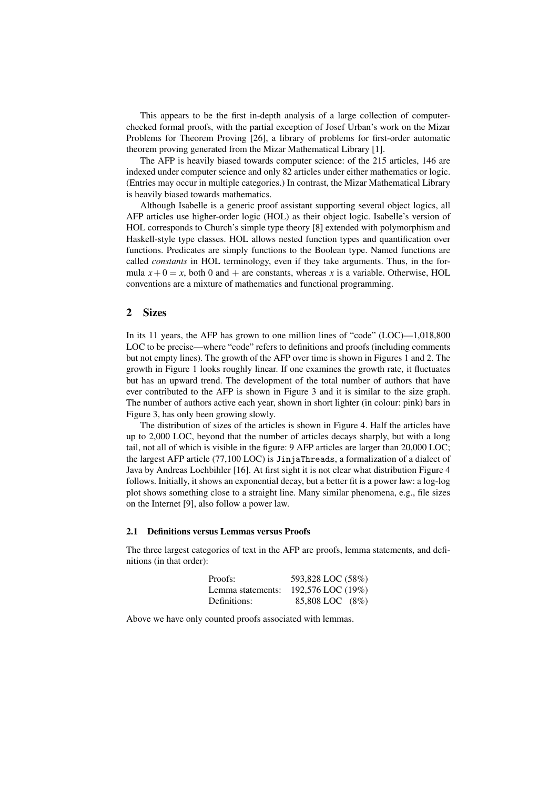This appears to be the first in-depth analysis of a large collection of computerchecked formal proofs, with the partial exception of Josef Urban's work on the Mizar Problems for Theorem Proving [\[26\]](#page-14-3), a library of problems for first-order automatic theorem proving generated from the Mizar Mathematical Library [\[1\]](#page-13-1).

The AFP is heavily biased towards computer science: of the 215 articles, 146 are indexed under computer science and only 82 articles under either mathematics or logic. (Entries may occur in multiple categories.) In contrast, the Mizar Mathematical Library is heavily biased towards mathematics.

Although Isabelle is a generic proof assistant supporting several object logics, all AFP articles use higher-order logic (HOL) as their object logic. Isabelle's version of HOL corresponds to Church's simple type theory [\[8\]](#page-13-2) extended with polymorphism and Haskell-style type classes. HOL allows nested function types and quantification over functions. Predicates are simply functions to the Boolean type. Named functions are called *constants* in HOL terminology, even if they take arguments. Thus, in the formula  $x + 0 = x$ , both 0 and + are constants, whereas x is a variable. Otherwise, HOL conventions are a mixture of mathematics and functional programming.

## 2 Sizes

In its 11 years, the AFP has grown to one million lines of "code" (LOC)—1,018,800 LOC to be precise—where "code" refers to definitions and proofs (including comments but not empty lines). The growth of the AFP over time is shown in Figures [1](#page-2-0) and [2.](#page-2-1) The growth in Figure [1](#page-2-0) looks roughly linear. If one examines the growth rate, it fluctuates but has an upward trend. The development of the total number of authors that have ever contributed to the AFP is shown in Figure [3](#page-2-2) and it is similar to the size graph. The number of authors active each year, shown in short lighter (in colour: pink) bars in Figure [3,](#page-2-2) has only been growing slowly.

The distribution of sizes of the articles is shown in Figure [4.](#page-3-0) Half the articles have up to 2,000 LOC, beyond that the number of articles decays sharply, but with a long tail, not all of which is visible in the figure: 9 AFP articles are larger than 20,000 LOC; the largest AFP article (77,100 LOC) is JinjaThreads, a formalization of a dialect of Java by Andreas Lochbihler [\[16\]](#page-14-4). At first sight it is not clear what distribution Figure [4](#page-3-0) follows. Initially, it shows an exponential decay, but a better fit is a power law: a log-log plot shows something close to a straight line. Many similar phenomena, e.g., file sizes on the Internet [\[9\]](#page-13-3), also follow a power law.

### 2.1 Definitions versus Lemmas versus Proofs

The three largest categories of text in the AFP are proofs, lemma statements, and definitions (in that order):

| Proofs:           | 593,828 LOC (58%) |
|-------------------|-------------------|
| Lemma statements: | 192,576 LOC (19%) |
| Definitions:      | 85,808 LOC (8%)   |

Above we have only counted proofs associated with lemmas.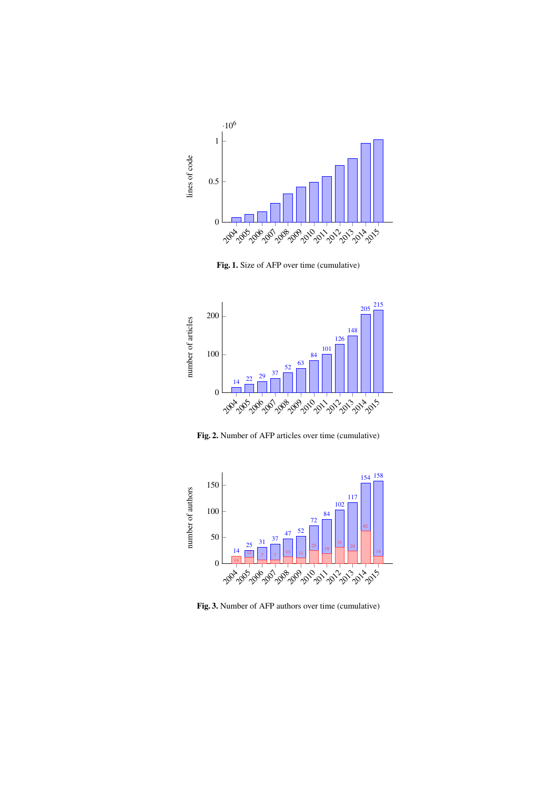

<span id="page-2-0"></span>Fig. 1. Size of AFP over time (cumulative)



<span id="page-2-1"></span>Fig. 2. Number of AFP articles over time (cumulative)



<span id="page-2-2"></span>Fig. 3. Number of AFP authors over time (cumulative)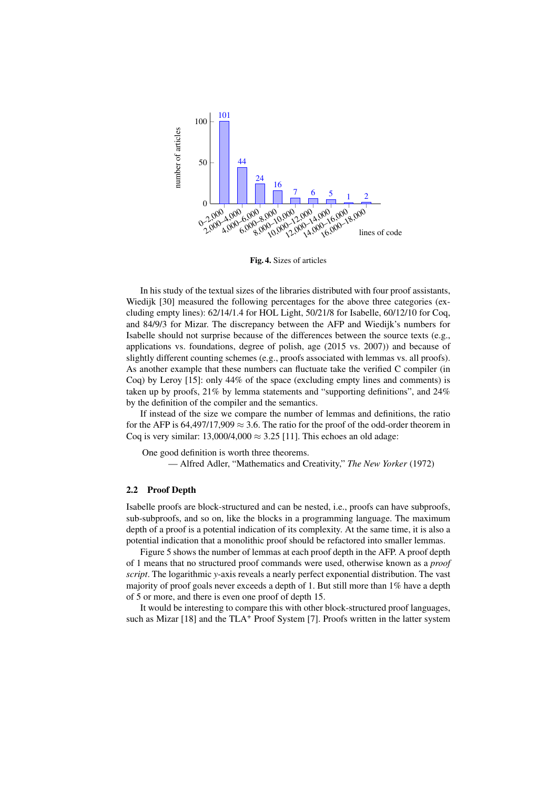

<span id="page-3-0"></span>Fig. 4. Sizes of articles

In his study of the textual sizes of the libraries distributed with four proof assistants, Wiedijk [\[30\]](#page-15-1) measured the following percentages for the above three categories (excluding empty lines): 62/14/1.4 for HOL Light, 50/21/8 for Isabelle, 60/12/10 for Coq, and 84/9/3 for Mizar. The discrepancy between the AFP and Wiedijk's numbers for Isabelle should not surprise because of the differences between the source texts (e.g., applications vs. foundations, degree of polish, age (2015 vs. 2007)) and because of slightly different counting schemes (e.g., proofs associated with lemmas vs. all proofs). As another example that these numbers can fluctuate take the verified C compiler (in Coq) by Leroy [\[15\]](#page-14-5): only 44% of the space (excluding empty lines and comments) is taken up by proofs, 21% by lemma statements and "supporting definitions", and 24% by the definition of the compiler and the semantics.

If instead of the size we compare the number of lemmas and definitions, the ratio for the AFP is 64,497/17,909  $\approx$  3.6. The ratio for the proof of the odd-order theorem in Coq is very similar:  $13,000/4,000 \approx 3.25$  [\[11\]](#page-14-6). This echoes an old adage:

One good definition is worth three theorems.

— Alfred Adler, "Mathematics and Creativity," *The New Yorker* (1972)

#### 2.2 Proof Depth

Isabelle proofs are block-structured and can be nested, i.e., proofs can have subproofs, sub-subproofs, and so on, like the blocks in a programming language. The maximum depth of a proof is a potential indication of its complexity. At the same time, it is also a potential indication that a monolithic proof should be refactored into smaller lemmas.

Figure [5](#page-4-0) shows the number of lemmas at each proof depth in the AFP. A proof depth of 1 means that no structured proof commands were used, otherwise known as a *proof script*. The logarithmic *y*-axis reveals a nearly perfect exponential distribution. The vast majority of proof goals never exceeds a depth of 1. But still more than 1% have a depth of 5 or more, and there is even one proof of depth 15.

It would be interesting to compare this with other block-structured proof languages, such as Mizar [\[18\]](#page-14-7) and the TLA<sup>+</sup> Proof System [\[7\]](#page-13-4). Proofs written in the latter system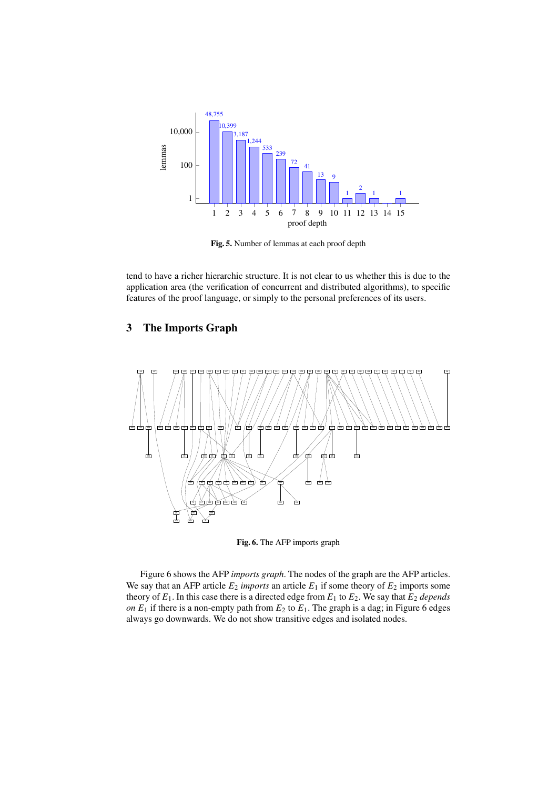

<span id="page-4-0"></span>Fig. 5. Number of lemmas at each proof depth

tend to have a richer hierarchic structure. It is not clear to us whether this is due to the application area (the verification of concurrent and distributed algorithms), to specific features of the proof language, or simply to the personal preferences of its users.

# 3 The Imports Graph



<span id="page-4-1"></span>Fig. 6. The AFP imports graph

Figure [6](#page-4-1) shows the AFP *imports graph*. The nodes of the graph are the AFP articles. We say that an AFP article  $E_2$  *imports* an article  $E_1$  if some theory of  $E_2$  imports some theory of  $E_1$ . In this case there is a directed edge from  $E_1$  to  $E_2$ . We say that  $E_2$  *depends on*  $E_1$  if there is a non-empty path from  $E_2$  to  $E_1$ . The graph is a dag; in Figure [6](#page-4-1) edges always go downwards. We do not show transitive edges and isolated nodes.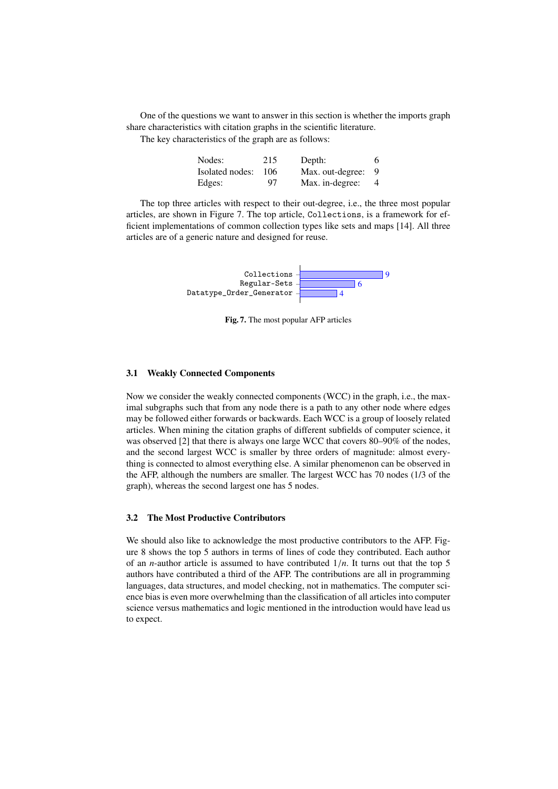One of the questions we want to answer in this section is whether the imports graph share characteristics with citation graphs in the scientific literature.

The key characteristics of the graph are as follows:

| Nodes:          | 215  | Depth:           |     |
|-----------------|------|------------------|-----|
| Isolated nodes: | -106 | Max. out-degree: | - 9 |
| Edges:          | 97   | Max. in-degree:  | 4   |

The top three articles with respect to their out-degree, i.e., the three most popular articles, are shown in Figure [7.](#page-5-0) The top article, Collections, is a framework for efficient implementations of common collection types like sets and maps [\[14\]](#page-14-8). All three articles are of a generic nature and designed for reuse.



<span id="page-5-0"></span>Fig. 7. The most popular AFP articles

#### 3.1 Weakly Connected Components

Now we consider the weakly connected components (WCC) in the graph, i.e., the maximal subgraphs such that from any node there is a path to any other node where edges may be followed either forwards or backwards. Each WCC is a group of loosely related articles. When mining the citation graphs of different subfields of computer science, it was observed [\[2\]](#page-13-5) that there is always one large WCC that covers 80–90% of the nodes, and the second largest WCC is smaller by three orders of magnitude: almost everything is connected to almost everything else. A similar phenomenon can be observed in the AFP, although the numbers are smaller. The largest WCC has 70 nodes (1/3 of the graph), whereas the second largest one has 5 nodes.

### 3.2 The Most Productive Contributors

We should also like to acknowledge the most productive contributors to the AFP. Figure [8](#page-6-0) shows the top 5 authors in terms of lines of code they contributed. Each author of an *n*-author article is assumed to have contributed  $1/n$ . It turns out that the top 5 authors have contributed a third of the AFP. The contributions are all in programming languages, data structures, and model checking, not in mathematics. The computer science bias is even more overwhelming than the classification of all articles into computer science versus mathematics and logic mentioned in the introduction would have lead us to expect.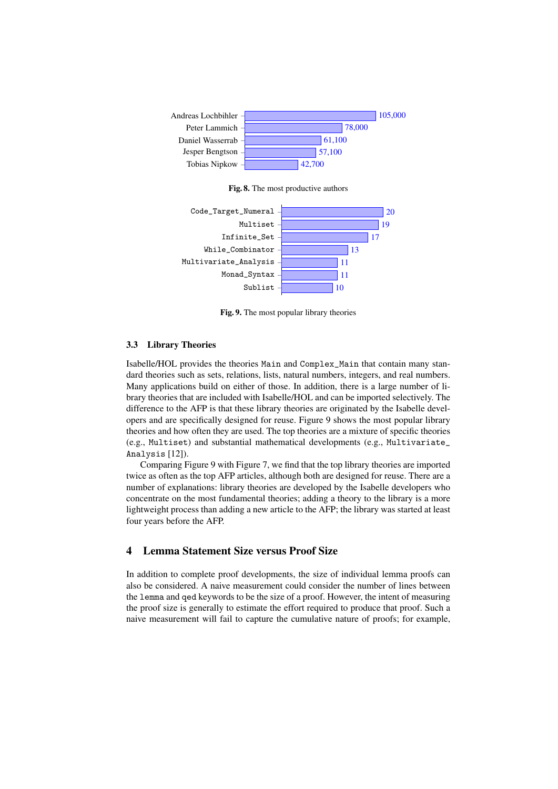

<span id="page-6-0"></span>Fig. 8. The most productive authors



<span id="page-6-1"></span>Fig. 9. The most popular library theories

## 3.3 Library Theories

Isabelle/HOL provides the theories Main and Complex\_Main that contain many standard theories such as sets, relations, lists, natural numbers, integers, and real numbers. Many applications build on either of those. In addition, there is a large number of library theories that are included with Isabelle/HOL and can be imported selectively. The difference to the AFP is that these library theories are originated by the Isabelle developers and are specifically designed for reuse. Figure [9](#page-6-1) shows the most popular library theories and how often they are used. The top theories are a mixture of specific theories (e.g., Multiset) and substantial mathematical developments (e.g., Multivariate\_ Analysis [\[12\]](#page-14-9)).

Comparing Figure [9](#page-6-1) with Figure [7,](#page-5-0) we find that the top library theories are imported twice as often as the top AFP articles, although both are designed for reuse. There are a number of explanations: library theories are developed by the Isabelle developers who concentrate on the most fundamental theories; adding a theory to the library is a more lightweight process than adding a new article to the AFP; the library was started at least four years before the AFP.

# 4 Lemma Statement Size versus Proof Size

In addition to complete proof developments, the size of individual lemma proofs can also be considered. A naive measurement could consider the number of lines between the lemma and qed keywords to be the size of a proof. However, the intent of measuring the proof size is generally to estimate the effort required to produce that proof. Such a naive measurement will fail to capture the cumulative nature of proofs; for example,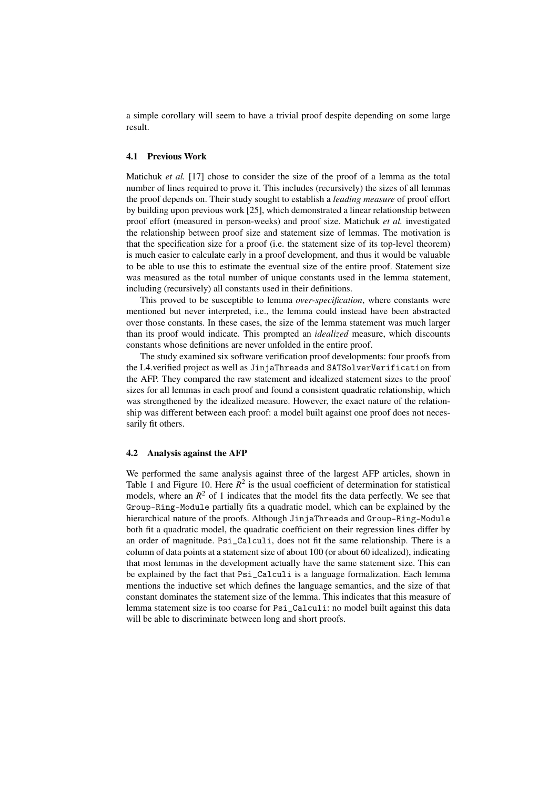a simple corollary will seem to have a trivial proof despite depending on some large result.

#### 4.1 Previous Work

Matichuk *et al.* [\[17\]](#page-14-10) chose to consider the size of the proof of a lemma as the total number of lines required to prove it. This includes (recursively) the sizes of all lemmas the proof depends on. Their study sought to establish a *leading measure* of proof effort by building upon previous work [\[25\]](#page-14-11), which demonstrated a linear relationship between proof effort (measured in person-weeks) and proof size. Matichuk *et al.* investigated the relationship between proof size and statement size of lemmas. The motivation is that the specification size for a proof (i.e. the statement size of its top-level theorem) is much easier to calculate early in a proof development, and thus it would be valuable to be able to use this to estimate the eventual size of the entire proof. Statement size was measured as the total number of unique constants used in the lemma statement, including (recursively) all constants used in their definitions.

This proved to be susceptible to lemma *over-specification*, where constants were mentioned but never interpreted, i.e., the lemma could instead have been abstracted over those constants. In these cases, the size of the lemma statement was much larger than its proof would indicate. This prompted an *idealized* measure, which discounts constants whose definitions are never unfolded in the entire proof.

The study examined six software verification proof developments: four proofs from the L4.verified project as well as JinjaThreads and SATSolverVerification from the AFP. They compared the raw statement and idealized statement sizes to the proof sizes for all lemmas in each proof and found a consistent quadratic relationship, which was strengthened by the idealized measure. However, the exact nature of the relationship was different between each proof: a model built against one proof does not necessarily fit others.

#### 4.2 Analysis against the AFP

We performed the same analysis against three of the largest AFP articles, shown in Table [1](#page-8-0) and Figure [10.](#page-9-0) Here  $R^2$  is the usual coefficient of determination for statistical models, where an  $R^2$  of 1 indicates that the model fits the data perfectly. We see that Group-Ring-Module partially fits a quadratic model, which can be explained by the hierarchical nature of the proofs. Although JinjaThreads and Group-Ring-Module both fit a quadratic model, the quadratic coefficient on their regression lines differ by an order of magnitude. Psi\_Calculi, does not fit the same relationship. There is a column of data points at a statement size of about 100 (or about 60 idealized), indicating that most lemmas in the development actually have the same statement size. This can be explained by the fact that Psi\_Calculi is a language formalization. Each lemma mentions the inductive set which defines the language semantics, and the size of that constant dominates the statement size of the lemma. This indicates that this measure of lemma statement size is too coarse for Psi\_Calculi: no model built against this data will be able to discriminate between long and short proofs.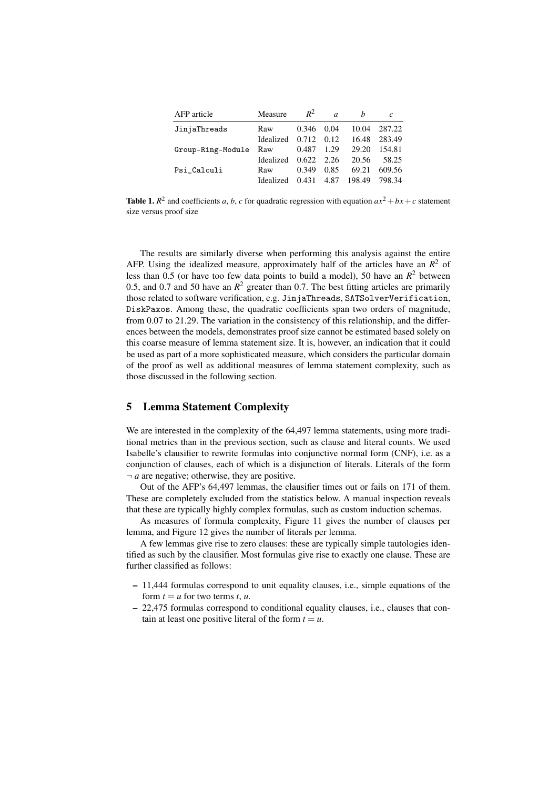| AFP article           | Measure                  | $R^2$              | $\overline{a}$ | h                        | C            |
|-----------------------|--------------------------|--------------------|----------------|--------------------------|--------------|
| JinjaThreads          | Raw                      | $0.346$ 0.04       |                |                          | 10.04 287.22 |
|                       | Idealized $0.712$ $0.12$ |                    |                |                          | 16.48 283.49 |
| Group-Ring-Module Raw |                          | 0.487 1.29         |                | 29.20                    | 154.81       |
|                       | Idealized                | $0.622 \quad 2.26$ |                |                          | 20.56 58.25  |
| Psi_Calculi           | Raw                      | 0.349              | 0.85           |                          | 69.21 609.56 |
|                       | Idealized                |                    |                | 0.431 4.87 198.49 798.34 |              |

<span id="page-8-0"></span>**Table 1.**  $R^2$  and coefficients *a*, *b*, *c* for quadratic regression with equation  $ax^2 + bx + c$  statement size versus proof size

The results are similarly diverse when performing this analysis against the entire AFP. Using the idealized measure, approximately half of the articles have an  $R^2$  of less than 0.5 (or have too few data points to build a model), 50 have an  $R^2$  between 0.5 and 0.7 and 50 have an  $R^2$  greater than 0.7. The best fitting articles are primarily 0.5, and 0.7 and 50 have an  $R^2$  greater than 0.7. The best fitting articles are primarily those related to software verification e.g. liniaThreads, SATSol ver Verification those related to software verification, e.g. JinjaThreads, SATSolverVerification, DiskPaxos. Among these, the quadratic coefficients span two orders of magnitude, from 0.07 to 21.29. The variation in the consistency of this relationship, and the differences between the models, demonstrates proof size cannot be estimated based solely on this coarse measure of lemma statement size. It is, however, an indication that it could be used as part of a more sophisticated measure, which considers the particular domain of the proof as well as additional measures of lemma statement complexity, such as those discussed in the following section.

# 5 Lemma Statement Complexity

We are interested in the complexity of the 64,497 lemma statements, using more traditional metrics than in the previous section, such as clause and literal counts. We used Isabelle's clausifier to rewrite formulas into conjunctive normal form (CNF), i.e. as a conjunction of clauses, each of which is a disjunction of literals. Literals of the form  $\neg a$  are negative; otherwise, they are positive.

Out of the AFP's 64,497 lemmas, the clausifier times out or fails on 171 of them. These are completely excluded from the statistics below. A manual inspection reveals that these are typically highly complex formulas, such as custom induction schemas.

As measures of formula complexity, Figure [11](#page-10-0) gives the number of clauses per lemma, and Figure [12](#page-10-1) gives the number of literals per lemma.

A few lemmas give rise to zero clauses: these are typically simple tautologies identified as such by the clausifier. Most formulas give rise to exactly one clause. These are further classified as follows:

- 11,444 formulas correspond to unit equality clauses, i.e., simple equations of the form  $t = u$  for two terms  $t, u$ .
- 22,475 formulas correspond to conditional equality clauses, i.e., clauses that contain at least one positive literal of the form  $t = u$ .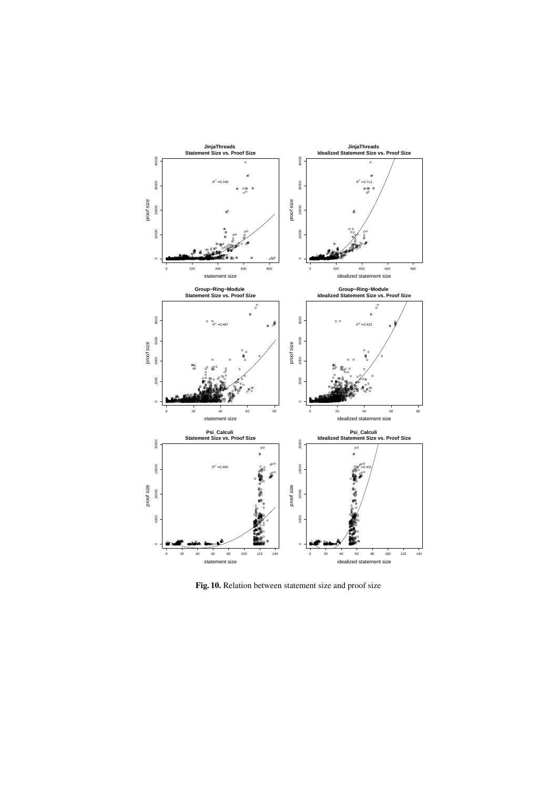

<span id="page-9-0"></span>Fig. 10. Relation between statement size and proof size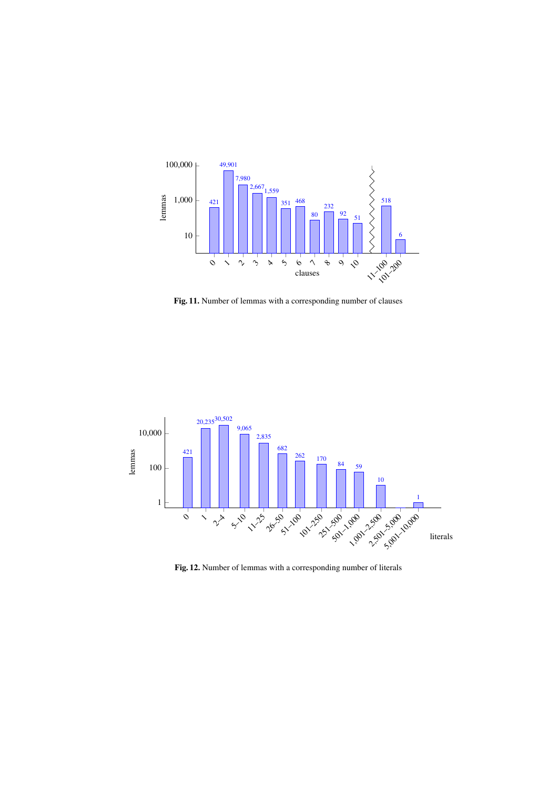

<span id="page-10-0"></span>Fig. 11. Number of lemmas with a corresponding number of clauses



<span id="page-10-1"></span>Fig. 12. Number of lemmas with a corresponding number of literals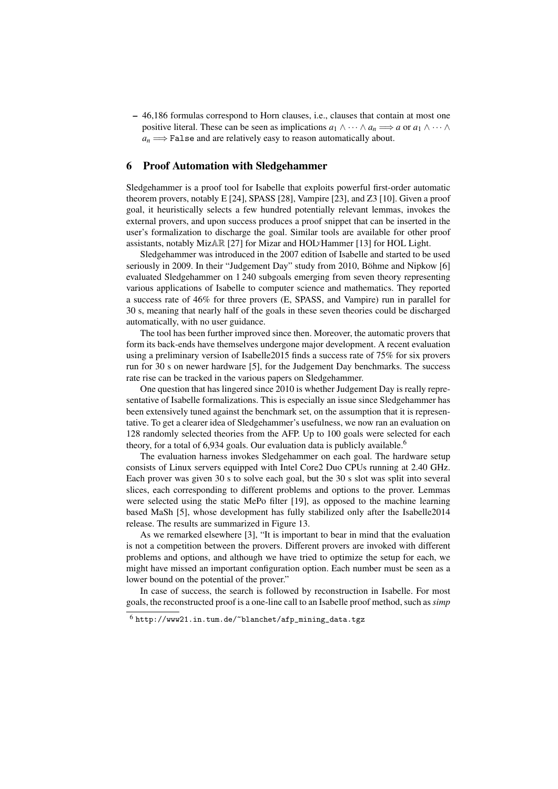– 46,186 formulas correspond to Horn clauses, i.e., clauses that contain at most one positive literal. These can be seen as implications  $a_1 \wedge \cdots \wedge a_n \Longrightarrow a$  or  $a_1 \wedge \cdots \wedge a_n$  $a_n \Longrightarrow$  False and are relatively easy to reason automatically about.

## 6 Proof Automation with Sledgehammer

Sledgehammer is a proof tool for Isabelle that exploits powerful first-order automatic theorem provers, notably E [\[24\]](#page-14-12), SPASS [\[28\]](#page-14-13), Vampire [\[23\]](#page-14-14), and Z3 [\[10\]](#page-13-6). Given a proof goal, it heuristically selects a few hundred potentially relevant lemmas, invokes the external provers, and upon success produces a proof snippet that can be inserted in the user's formalization to discharge the goal. Similar tools are available for other proof assistants, notably MizAR [\[27\]](#page-14-15) for Mizar and HOLYHammer [\[13\]](#page-14-16) for HOL Light.

Sledgehammer was introduced in the 2007 edition of Isabelle and started to be used seriously in 2009. In their "Judgement Day" study from 2010, Böhme and Nipkow [\[6\]](#page-13-7) evaluated Sledgehammer on 1 240 subgoals emerging from seven theory representing various applications of Isabelle to computer science and mathematics. They reported a success rate of 46% for three provers (E, SPASS, and Vampire) run in parallel for 30 s, meaning that nearly half of the goals in these seven theories could be discharged automatically, with no user guidance.

The tool has been further improved since then. Moreover, the automatic provers that form its back-ends have themselves undergone major development. A recent evaluation using a preliminary version of Isabelle2015 finds a success rate of 75% for six provers run for 30 s on newer hardware [\[5\]](#page-13-8), for the Judgement Day benchmarks. The success rate rise can be tracked in the various papers on Sledgehammer.

One question that has lingered since 2010 is whether Judgement Day is really representative of Isabelle formalizations. This is especially an issue since Sledgehammer has been extensively tuned against the benchmark set, on the assumption that it is representative. To get a clearer idea of Sledgehammer's usefulness, we now ran an evaluation on 128 randomly selected theories from the AFP. Up to 100 goals were selected for each theory, for a total of  $6,934$  $6,934$  goals. Our evaluation data is publicly available.<sup>6</sup>

The evaluation harness invokes Sledgehammer on each goal. The hardware setup consists of Linux servers equipped with Intel Core2 Duo CPUs running at 2.40 GHz. Each prover was given 30 s to solve each goal, but the 30 s slot was split into several slices, each corresponding to different problems and options to the prover. Lemmas were selected using the static MePo filter [\[19\]](#page-14-17), as opposed to the machine learning based MaSh [\[5\]](#page-13-8), whose development has fully stabilized only after the Isabelle2014 release. The results are summarized in Figure [13.](#page-12-0)

As we remarked elsewhere [\[3\]](#page-13-9), "It is important to bear in mind that the evaluation is not a competition between the provers. Different provers are invoked with different problems and options, and although we have tried to optimize the setup for each, we might have missed an important configuration option. Each number must be seen as a lower bound on the potential of the prover."

In case of success, the search is followed by reconstruction in Isabelle. For most goals, the reconstructed proof is a one-line call to an Isabelle proof method, such as *simp*

<span id="page-11-0"></span> $6$ [http://www21.in.tum.de/~blanchet/afp\\_mining\\_data.tgz](http://www21.in.tum.de/~blanchet/afp_mining_data.tgz)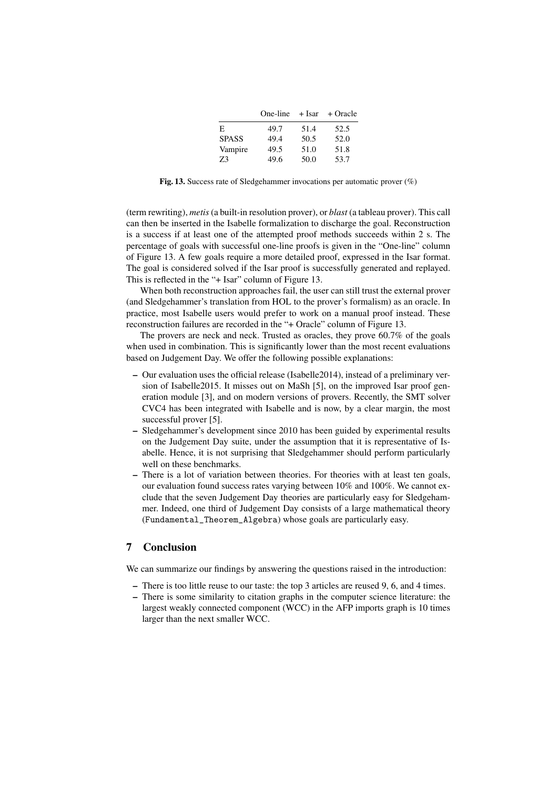|              | One-line | $+$ Isar | + Oracle |
|--------------|----------|----------|----------|
| E            | 49.7     | 51.4     | 52.5     |
| <b>SPASS</b> | 49.4     | 50.5     | 52.0     |
| Vampire      | 49.5     | 51.0     | 51.8     |
| Z3           | 49.6     | 50.0     | 53.7     |

<span id="page-12-0"></span>Fig. 13. Success rate of Sledgehammer invocations per automatic prover (%)

(term rewriting), *metis*(a built-in resolution prover), or *blast* (a tableau prover). This call can then be inserted in the Isabelle formalization to discharge the goal. Reconstruction is a success if at least one of the attempted proof methods succeeds within 2 s. The percentage of goals with successful one-line proofs is given in the "One-line" column of Figure [13.](#page-12-0) A few goals require a more detailed proof, expressed in the Isar format. The goal is considered solved if the Isar proof is successfully generated and replayed. This is reflected in the "+ Isar" column of Figure [13.](#page-12-0)

When both reconstruction approaches fail, the user can still trust the external prover (and Sledgehammer's translation from HOL to the prover's formalism) as an oracle. In practice, most Isabelle users would prefer to work on a manual proof instead. These reconstruction failures are recorded in the "+ Oracle" column of Figure [13.](#page-12-0)

The provers are neck and neck. Trusted as oracles, they prove 60.7% of the goals when used in combination. This is significantly lower than the most recent evaluations based on Judgement Day. We offer the following possible explanations:

- Our evaluation uses the official release (Isabelle2014), instead of a preliminary version of Isabelle2015. It misses out on MaSh [\[5\]](#page-13-8), on the improved Isar proof generation module [\[3\]](#page-13-9), and on modern versions of provers. Recently, the SMT solver CVC4 has been integrated with Isabelle and is now, by a clear margin, the most successful prover [\[5\]](#page-13-8).
- Sledgehammer's development since 2010 has been guided by experimental results on the Judgement Day suite, under the assumption that it is representative of Isabelle. Hence, it is not surprising that Sledgehammer should perform particularly well on these benchmarks.
- There is a lot of variation between theories. For theories with at least ten goals, our evaluation found success rates varying between 10% and 100%. We cannot exclude that the seven Judgement Day theories are particularly easy for Sledgehammer. Indeed, one third of Judgement Day consists of a large mathematical theory (Fundamental\_Theorem\_Algebra) whose goals are particularly easy.

## 7 Conclusion

We can summarize our findings by answering the questions raised in the introduction:

- There is too little reuse to our taste: the top 3 articles are reused 9, 6, and 4 times.
- There is some similarity to citation graphs in the computer science literature: the largest weakly connected component (WCC) in the AFP imports graph is 10 times larger than the next smaller WCC.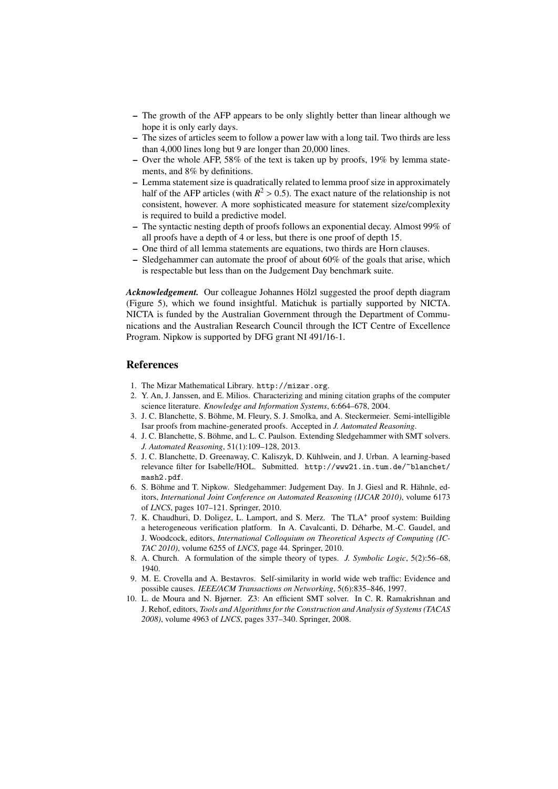- The growth of the AFP appears to be only slightly better than linear although we hope it is only early days.
- The sizes of articles seem to follow a power law with a long tail. Two thirds are less than 4,000 lines long but 9 are longer than 20,000 lines.
- Over the whole AFP, 58% of the text is taken up by proofs, 19% by lemma statements, and 8% by definitions.
- Lemma statement size is quadratically related to lemma proof size in approximately half of the AFP articles (with  $R^2 > 0.5$ ). The exact nature of the relationship is not<br>consistent, however, A more sophisticated measure for statement size/complexity consistent, however. A more sophisticated measure for statement size/complexity is required to build a predictive model.
- The syntactic nesting depth of proofs follows an exponential decay. Almost 99% of all proofs have a depth of 4 or less, but there is one proof of depth 15.
- One third of all lemma statements are equations, two thirds are Horn clauses.
- Sledgehammer can automate the proof of about 60% of the goals that arise, which is respectable but less than on the Judgement Day benchmark suite.

*Acknowledgement.* Our colleague Johannes Hölzl suggested the proof depth diagram (Figure [5\)](#page-4-0), which we found insightful. Matichuk is partially supported by NICTA. NICTA is funded by the Australian Government through the Department of Communications and the Australian Research Council through the ICT Centre of Excellence Program. Nipkow is supported by DFG grant NI 491/16-1.

# References

- <span id="page-13-1"></span>1. The Mizar Mathematical Library. <http://mizar.org>.
- <span id="page-13-5"></span>2. Y. An, J. Janssen, and E. Milios. Characterizing and mining citation graphs of the computer science literature. *Knowledge and Information Systems*, 6:664–678, 2004.
- <span id="page-13-9"></span>3. J. C. Blanchette, S. Böhme, M. Fleury, S. J. Smolka, and A. Steckermeier. Semi-intelligible Isar proofs from machine-generated proofs. Accepted in *J. Automated Reasoning*.
- <span id="page-13-0"></span>4. J. C. Blanchette, S. Böhme, and L. C. Paulson. Extending Sledgehammer with SMT solvers. *J. Automated Reasoning*, 51(1):109–128, 2013.
- <span id="page-13-8"></span>5. J. C. Blanchette, D. Greenaway, C. Kaliszyk, D. Kühlwein, and J. Urban. A learning-based relevance filter for Isabelle/HOL. Submitted. [http://www21.in.tum.de/~blanchet/](http://www21.in.tum.de/~blanchet/mash2.pdf) [mash2.pdf](http://www21.in.tum.de/~blanchet/mash2.pdf).
- <span id="page-13-7"></span>6. S. Böhme and T. Nipkow. Sledgehammer: Judgement Day. In J. Giesl and R. Hähnle, editors, *International Joint Conference on Automated Reasoning (IJCAR 2010)*, volume 6173 of *LNCS*, pages 107–121. Springer, 2010.
- <span id="page-13-4"></span>7. K. Chaudhuri, D. Doligez, L. Lamport, and S. Merz. The TLA<sup>+</sup> proof system: Building a heterogeneous verification platform. In A. Cavalcanti, D. Déharbe, M.-C. Gaudel, and J. Woodcock, editors, *International Colloquium on Theoretical Aspects of Computing (IC-TAC 2010)*, volume 6255 of *LNCS*, page 44. Springer, 2010.
- <span id="page-13-2"></span>8. A. Church. A formulation of the simple theory of types. *J. Symbolic Logic*, 5(2):56–68, 1940.
- <span id="page-13-3"></span>9. M. E. Crovella and A. Bestavros. Self-similarity in world wide web traffic: Evidence and possible causes. *IEEE/ACM Transactions on Networking*, 5(6):835–846, 1997.
- <span id="page-13-6"></span>10. L. de Moura and N. Bjørner. Z3: An efficient SMT solver. In C. R. Ramakrishnan and J. Rehof, editors, *Tools and Algorithms for the Construction and Analysis of Systems (TACAS 2008)*, volume 4963 of *LNCS*, pages 337–340. Springer, 2008.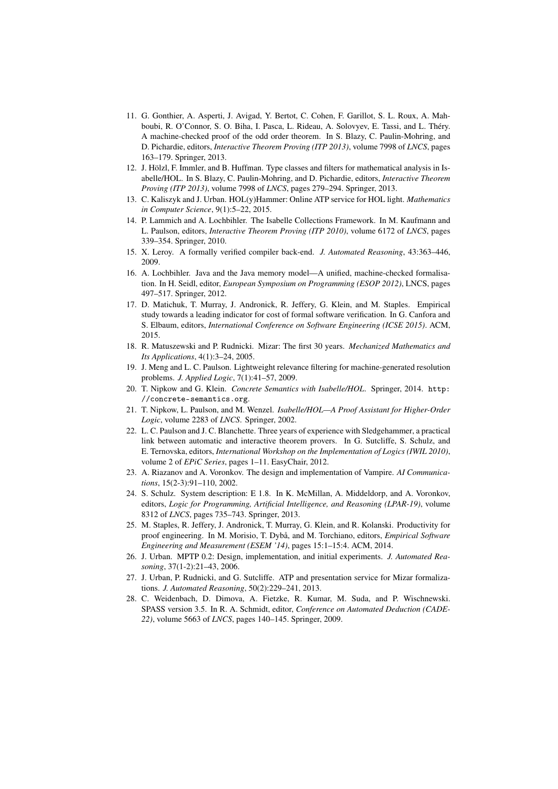- <span id="page-14-6"></span>11. G. Gonthier, A. Asperti, J. Avigad, Y. Bertot, C. Cohen, F. Garillot, S. L. Roux, A. Mahboubi, R. O'Connor, S. O. Biha, I. Pasca, L. Rideau, A. Solovyev, E. Tassi, and L. Théry. A machine-checked proof of the odd order theorem. In S. Blazy, C. Paulin-Mohring, and D. Pichardie, editors, *Interactive Theorem Proving (ITP 2013)*, volume 7998 of *LNCS*, pages 163–179. Springer, 2013.
- <span id="page-14-9"></span>12. J. Hölzl, F. Immler, and B. Huffman. Type classes and filters for mathematical analysis in Isabelle/HOL. In S. Blazy, C. Paulin-Mohring, and D. Pichardie, editors, *Interactive Theorem Proving (ITP 2013)*, volume 7998 of *LNCS*, pages 279–294. Springer, 2013.
- <span id="page-14-16"></span>13. C. Kaliszyk and J. Urban. HOL(y)Hammer: Online ATP service for HOL light. *Mathematics in Computer Science*, 9(1):5–22, 2015.
- <span id="page-14-8"></span>14. P. Lammich and A. Lochbihler. The Isabelle Collections Framework. In M. Kaufmann and L. Paulson, editors, *Interactive Theorem Proving (ITP 2010)*, volume 6172 of *LNCS*, pages 339–354. Springer, 2010.
- <span id="page-14-5"></span>15. X. Leroy. A formally verified compiler back-end. *J. Automated Reasoning*, 43:363–446, 2009.
- <span id="page-14-4"></span>16. A. Lochbihler. Java and the Java memory model—A unified, machine-checked formalisation. In H. Seidl, editor, *European Symposium on Programming (ESOP 2012)*, LNCS, pages 497–517. Springer, 2012.
- <span id="page-14-10"></span>17. D. Matichuk, T. Murray, J. Andronick, R. Jeffery, G. Klein, and M. Staples. Empirical study towards a leading indicator for cost of formal software verification. In G. Canfora and S. Elbaum, editors, *International Conference on Software Engineering (ICSE 2015)*. ACM, 2015.
- <span id="page-14-7"></span>18. R. Matuszewski and P. Rudnicki. Mizar: The first 30 years. *Mechanized Mathematics and Its Applications*, 4(1):3–24, 2005.
- <span id="page-14-17"></span>19. J. Meng and L. C. Paulson. Lightweight relevance filtering for machine-generated resolution problems. *J. Applied Logic*, 7(1):41–57, 2009.
- <span id="page-14-1"></span>20. T. Nipkow and G. Klein. *Concrete Semantics with Isabelle/HOL*. Springer, 2014. [http:](http://concrete-semantics.org) [//concrete-semantics.org](http://concrete-semantics.org).
- <span id="page-14-0"></span>21. T. Nipkow, L. Paulson, and M. Wenzel. *Isabelle/HOL—A Proof Assistant for Higher-Order Logic*, volume 2283 of *LNCS*. Springer, 2002.
- <span id="page-14-2"></span>22. L. C. Paulson and J. C. Blanchette. Three years of experience with Sledgehammer, a practical link between automatic and interactive theorem provers. In G. Sutcliffe, S. Schulz, and E. Ternovska, editors, *International Workshop on the Implementation of Logics (IWIL 2010)*, volume 2 of *EPiC Series*, pages 1–11. EasyChair, 2012.
- <span id="page-14-14"></span>23. A. Riazanov and A. Voronkov. The design and implementation of Vampire. *AI Communications*, 15(2-3):91–110, 2002.
- <span id="page-14-12"></span>24. S. Schulz. System description: E 1.8. In K. McMillan, A. Middeldorp, and A. Voronkov, editors, *Logic for Programming, Artificial Intelligence, and Reasoning (LPAR-19)*, volume 8312 of *LNCS*, pages 735–743. Springer, 2013.
- <span id="page-14-11"></span>25. M. Staples, R. Jeffery, J. Andronick, T. Murray, G. Klein, and R. Kolanski. Productivity for proof engineering. In M. Morisio, T. Dybå, and M. Torchiano, editors, *Empirical Software Engineering and Measurement (ESEM '14)*, pages 15:1–15:4. ACM, 2014.
- <span id="page-14-3"></span>26. J. Urban. MPTP 0.2: Design, implementation, and initial experiments. *J. Automated Reasoning*, 37(1-2):21–43, 2006.
- <span id="page-14-15"></span>27. J. Urban, P. Rudnicki, and G. Sutcliffe. ATP and presentation service for Mizar formalizations. *J. Automated Reasoning*, 50(2):229–241, 2013.
- <span id="page-14-13"></span>28. C. Weidenbach, D. Dimova, A. Fietzke, R. Kumar, M. Suda, and P. Wischnewski. SPASS version 3.5. In R. A. Schmidt, editor, *Conference on Automated Deduction (CADE-22)*, volume 5663 of *LNCS*, pages 140–145. Springer, 2009.